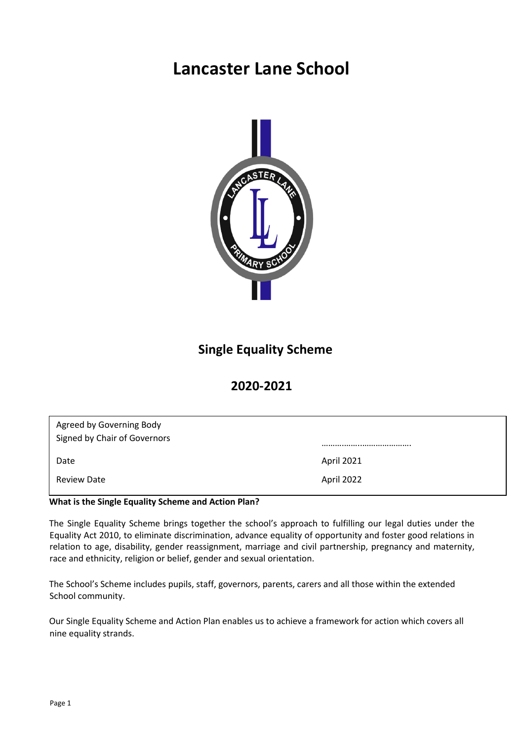# **Lancaster Lane School**



# **Single Equality Scheme**

# **2020-2021**

| Agreed by Governing Body<br>Signed by Chair of Governors |            |  |
|----------------------------------------------------------|------------|--|
| Date                                                     | April 2021 |  |
| <b>Review Date</b>                                       | April 2022 |  |

## **What is the Single Equality Scheme and Action Plan?**

The Single Equality Scheme brings together the school's approach to fulfilling our legal duties under the Equality Act 2010, to eliminate discrimination, advance equality of opportunity and foster good relations in relation to age, disability, gender reassignment, marriage and civil partnership, pregnancy and maternity, race and ethnicity, religion or belief, gender and sexual orientation.

The School's Scheme includes pupils, staff, governors, parents, carers and all those within the extended School community.

Our Single Equality Scheme and Action Plan enables us to achieve a framework for action which covers all nine equality strands.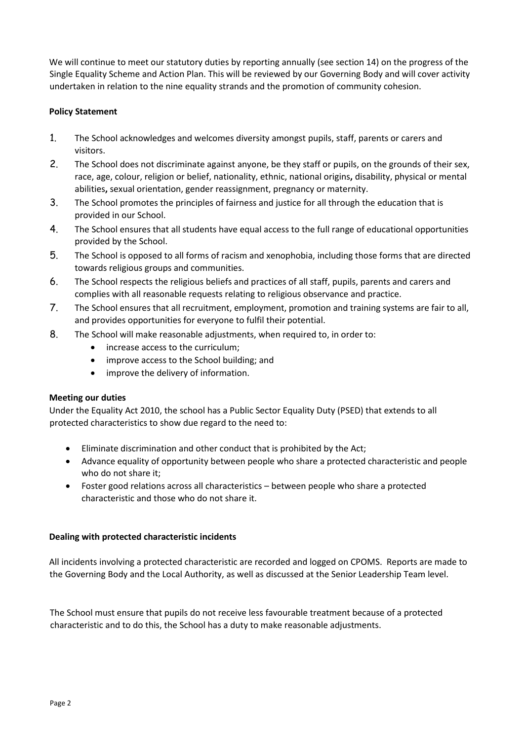We will continue to meet our statutory duties by reporting annually (see section 14) on the progress of the Single Equality Scheme and Action Plan. This will be reviewed by our Governing Body and will cover activity undertaken in relation to the nine equality strands and the promotion of community cohesion.

# **Policy Statement**

- 1. The School acknowledges and welcomes diversity amongst pupils, staff, parents or carers and visitors.
- 2. The School does not discriminate against anyone, be they staff or pupils, on the grounds of their sex, race, age, colour, religion or belief, nationality, ethnic, national origins**,** disability, physical or mental abilities**,** sexual orientation, gender reassignment, pregnancy or maternity.
- 3. The School promotes the principles of fairness and justice for all through the education that is provided in our School.
- 4. The School ensures that all students have equal access to the full range of educational opportunities provided by the School.
- 5. The School is opposed to all forms of racism and xenophobia, including those forms that are directed towards religious groups and communities.
- 6. The School respects the religious beliefs and practices of all staff, pupils, parents and carers and complies with all reasonable requests relating to religious observance and practice.
- 7. The School ensures that all recruitment, employment, promotion and training systems are fair to all, and provides opportunities for everyone to fulfil their potential.
- 8. The School will make reasonable adjustments, when required to, in order to:
	- increase access to the curriculum;
	- improve access to the School building; and
	- improve the delivery of information.

#### **Meeting our duties**

Under the Equality Act 2010, the school has a Public Sector Equality Duty (PSED) that extends to all protected characteristics to show due regard to the need to:

- Eliminate discrimination and other conduct that is prohibited by the Act;
- Advance equality of opportunity between people who share a protected characteristic and people who do not share it;
- Foster good relations across all characteristics between people who share a protected characteristic and those who do not share it.

#### **Dealing with protected characteristic incidents**

All incidents involving a protected characteristic are recorded and logged on CPOMS. Reports are made to the Governing Body and the Local Authority, as well as discussed at the Senior Leadership Team level.

The School must ensure that pupils do not receive less favourable treatment because of a protected characteristic and to do this, the School has a duty to make reasonable adjustments.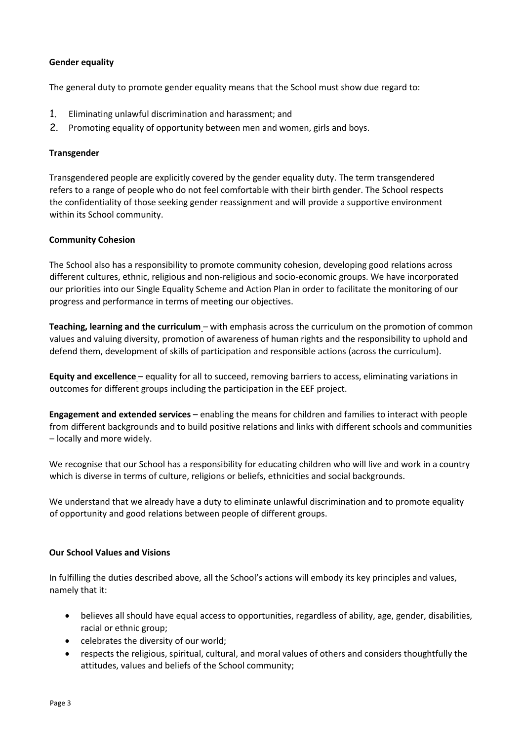# **Gender equality**

The general duty to promote gender equality means that the School must show due regard to:

- 1. Eliminating unlawful discrimination and harassment; and
- 2. Promoting equality of opportunity between men and women, girls and boys.

#### **Transgender**

Transgendered people are explicitly covered by the gender equality duty. The term transgendered refers to a range of people who do not feel comfortable with their birth gender. The School respects the confidentiality of those seeking gender reassignment and will provide a supportive environment within its School community.

## **Community Cohesion**

The School also has a responsibility to promote community cohesion, developing good relations across different cultures, ethnic, religious and non-religious and socio-economic groups. We have incorporated our priorities into our Single Equality Scheme and Action Plan in order to facilitate the monitoring of our progress and performance in terms of meeting our objectives.

**Teaching, learning and the curriculum** – with emphasis across the curriculum on the promotion of common values and valuing diversity, promotion of awareness of human rights and the responsibility to uphold and defend them, development of skills of participation and responsible actions (across the curriculum).

**Equity and excellence** – equality for all to succeed, removing barriers to access, eliminating variations in outcomes for different groups including the participation in the EEF project.

**Engagement and extended services** – enabling the means for children and families to interact with people from different backgrounds and to build positive relations and links with different schools and communities – locally and more widely.

We recognise that our School has a responsibility for educating children who will live and work in a country which is diverse in terms of culture, religions or beliefs, ethnicities and social backgrounds.

We understand that we already have a duty to eliminate unlawful discrimination and to promote equality of opportunity and good relations between people of different groups.

#### **Our School Values and Visions**

In fulfilling the duties described above, all the School's actions will embody its key principles and values, namely that it:

- believes all should have equal access to opportunities, regardless of ability, age, gender, disabilities, racial or ethnic group;
- celebrates the diversity of our world;
- respects the religious, spiritual, cultural, and moral values of others and considers thoughtfully the attitudes, values and beliefs of the School community;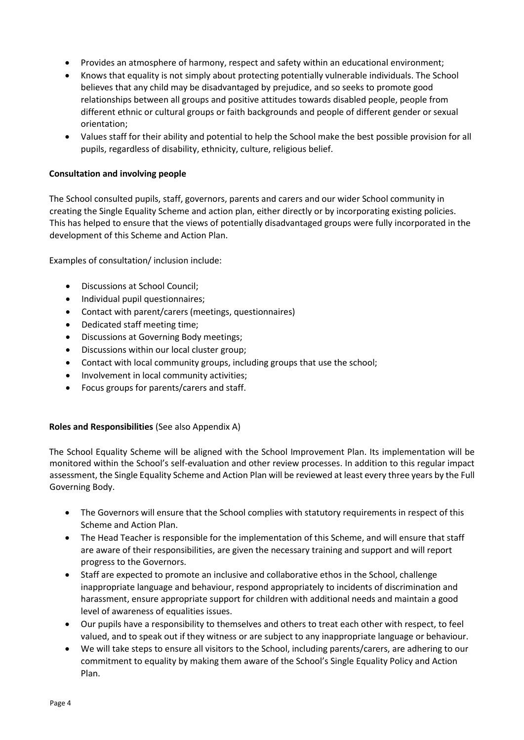- Provides an atmosphere of harmony, respect and safety within an educational environment;
- Knows that equality is not simply about protecting potentially vulnerable individuals. The School believes that any child may be disadvantaged by prejudice, and so seeks to promote good relationships between all groups and positive attitudes towards disabled people, people from different ethnic or cultural groups or faith backgrounds and people of different gender or sexual orientation;
- Values staff for their ability and potential to help the School make the best possible provision for all pupils, regardless of disability, ethnicity, culture, religious belief.

# **Consultation and involving people**

The School consulted pupils, staff, governors, parents and carers and our wider School community in creating the Single Equality Scheme and action plan, either directly or by incorporating existing policies. This has helped to ensure that the views of potentially disadvantaged groups were fully incorporated in the development of this Scheme and Action Plan.

Examples of consultation/ inclusion include:

- Discussions at School Council;
- Individual pupil questionnaires;
- Contact with parent/carers (meetings, questionnaires)
- Dedicated staff meeting time;
- Discussions at Governing Body meetings;
- Discussions within our local cluster group;
- Contact with local community groups, including groups that use the school;
- Involvement in local community activities;
- Focus groups for parents/carers and staff.

# **Roles and Responsibilities** (See also Appendix A)

The School Equality Scheme will be aligned with the School Improvement Plan. Its implementation will be monitored within the School's self-evaluation and other review processes. In addition to this regular impact assessment, the Single Equality Scheme and Action Plan will be reviewed at least every three years by the Full Governing Body.

- The Governors will ensure that the School complies with statutory requirements in respect of this Scheme and Action Plan.
- The Head Teacher is responsible for the implementation of this Scheme, and will ensure that staff are aware of their responsibilities, are given the necessary training and support and will report progress to the Governors.
- Staff are expected to promote an inclusive and collaborative ethos in the School, challenge inappropriate language and behaviour, respond appropriately to incidents of discrimination and harassment, ensure appropriate support for children with additional needs and maintain a good level of awareness of equalities issues.
- Our pupils have a responsibility to themselves and others to treat each other with respect, to feel valued, and to speak out if they witness or are subject to any inappropriate language or behaviour.
- We will take steps to ensure all visitors to the School, including parents/carers, are adhering to our commitment to equality by making them aware of the School's Single Equality Policy and Action Plan.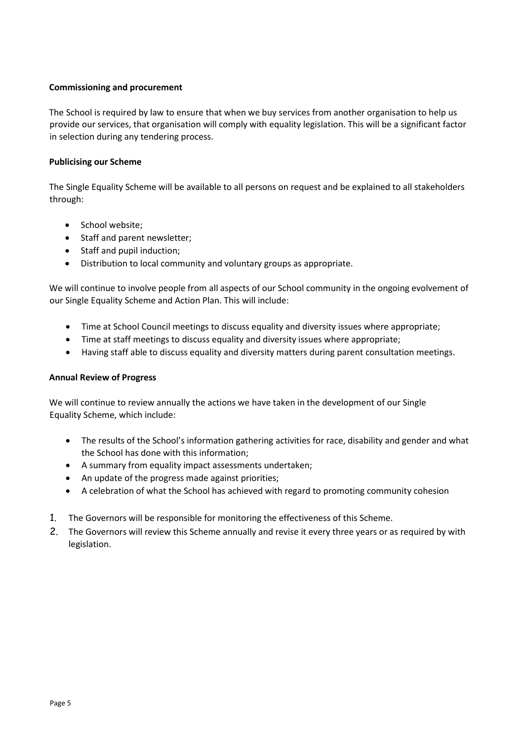# **Commissioning and procurement**

The School is required by law to ensure that when we buy services from another organisation to help us provide our services, that organisation will comply with equality legislation. This will be a significant factor in selection during any tendering process.

#### **Publicising our Scheme**

The Single Equality Scheme will be available to all persons on request and be explained to all stakeholders through:

- School website;
- Staff and parent newsletter;
- Staff and pupil induction;
- Distribution to local community and voluntary groups as appropriate.

We will continue to involve people from all aspects of our School community in the ongoing evolvement of our Single Equality Scheme and Action Plan. This will include:

- Time at School Council meetings to discuss equality and diversity issues where appropriate;
- Time at staff meetings to discuss equality and diversity issues where appropriate;
- Having staff able to discuss equality and diversity matters during parent consultation meetings.

#### **Annual Review of Progress**

We will continue to review annually the actions we have taken in the development of our Single Equality Scheme, which include:

- The results of the School's information gathering activities for race, disability and gender and what the School has done with this information;
- A summary from equality impact assessments undertaken;
- An update of the progress made against priorities;
- A celebration of what the School has achieved with regard to promoting community cohesion
- 1. The Governors will be responsible for monitoring the effectiveness of this Scheme.
- 2. The Governors will review this Scheme annually and revise it every three years or as required by with legislation.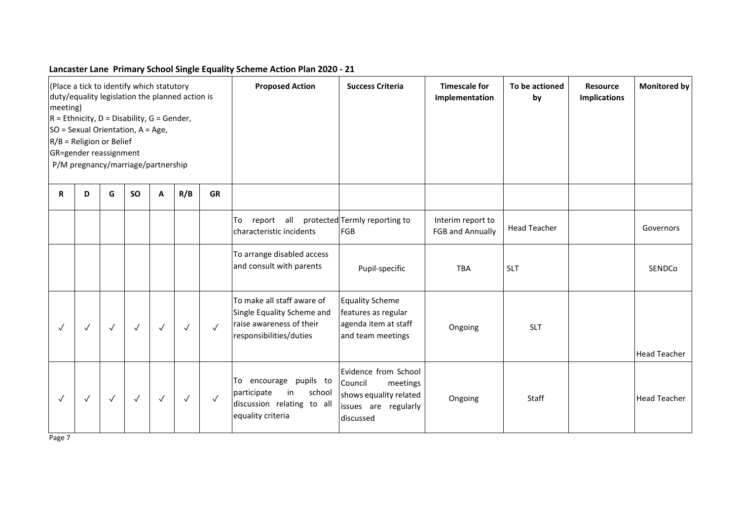# **Lancaster Lane Primary School Single Equality Scheme Action Plan 2020 - 21**

| (Place a tick to identify which statutory<br>duty/equality legislation the planned action is<br>meeting)<br>$R =$ Ethnicity, D = Disability, G = Gender,<br>SO = Sexual Orientation, A = Age,<br>$R/B$ = Religion or Belief<br>GR=gender reassignment<br>P/M pregnancy/marriage/partnership |              |              |              |              |              |              | <b>Proposed Action</b>                                                                                          | <b>Success Criteria</b>                                                                                    | <b>Timescale for</b><br>Implementation       | To be actioned<br>by | <b>Monitored by</b><br><b>Resource</b><br><b>Implications</b> |
|---------------------------------------------------------------------------------------------------------------------------------------------------------------------------------------------------------------------------------------------------------------------------------------------|--------------|--------------|--------------|--------------|--------------|--------------|-----------------------------------------------------------------------------------------------------------------|------------------------------------------------------------------------------------------------------------|----------------------------------------------|----------------------|---------------------------------------------------------------|
| R                                                                                                                                                                                                                                                                                           | D            | G            | <b>SO</b>    | A            | R/B          | <b>GR</b>    |                                                                                                                 |                                                                                                            |                                              |                      |                                                               |
|                                                                                                                                                                                                                                                                                             |              |              |              |              |              |              | all<br>To<br>report<br>characteristic incidents                                                                 | protected Termly reporting to<br>FGB                                                                       | Interim report to<br><b>FGB and Annually</b> | <b>Head Teacher</b>  | Governors                                                     |
|                                                                                                                                                                                                                                                                                             |              |              |              |              |              |              | To arrange disabled access<br>and consult with parents                                                          | Pupil-specific                                                                                             | <b>TBA</b>                                   | <b>SLT</b>           | SENDCo                                                        |
| $\checkmark$                                                                                                                                                                                                                                                                                | $\checkmark$ | $\checkmark$ | $\checkmark$ | $\checkmark$ | $\checkmark$ | $\checkmark$ | To make all staff aware of<br>Single Equality Scheme and<br>raise awareness of their<br>responsibilities/duties | <b>Equality Scheme</b><br>features as regular<br>agenda item at staff<br>and team meetings                 | Ongoing                                      | <b>SLT</b>           | <b>Head Teacher</b>                                           |
| $\checkmark$                                                                                                                                                                                                                                                                                | $\checkmark$ | $\checkmark$ | $\checkmark$ | $\checkmark$ | $\checkmark$ | $\sqrt{ }$   | To encourage pupils to<br>participate<br>in<br>school<br>discussion relating to all<br>equality criteria        | Evidence from School<br>Council<br>meetings<br>shows equality related<br>issues are regularly<br>discussed | Ongoing                                      | Staff                | <b>Head Teacher</b>                                           |

Page 7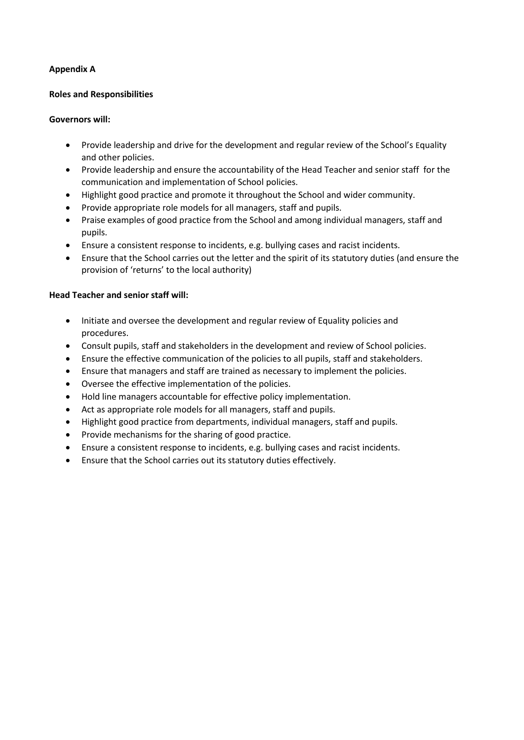# **Appendix A**

# **Roles and Responsibilities**

## **Governors will:**

- Provide leadership and drive for the development and regular review of the School's Equality and other policies.
- Provide leadership and ensure the accountability of the Head Teacher and senior staff for the communication and implementation of School policies.
- Highlight good practice and promote it throughout the School and wider community.
- Provide appropriate role models for all managers, staff and pupils.
- Praise examples of good practice from the School and among individual managers, staff and pupils.
- Ensure a consistent response to incidents, e.g. bullying cases and racist incidents.
- Ensure that the School carries out the letter and the spirit of its statutory duties (and ensure the provision of 'returns' to the local authority)

## **Head Teacher and senior staff will:**

- Initiate and oversee the development and regular review of Equality policies and procedures.
- Consult pupils, staff and stakeholders in the development and review of School policies.
- Ensure the effective communication of the policies to all pupils, staff and stakeholders.
- Ensure that managers and staff are trained as necessary to implement the policies.
- Oversee the effective implementation of the policies.
- Hold line managers accountable for effective policy implementation.
- Act as appropriate role models for all managers, staff and pupils.
- Highlight good practice from departments, individual managers, staff and pupils.
- Provide mechanisms for the sharing of good practice.
- Ensure a consistent response to incidents, e.g. bullying cases and racist incidents.
- Ensure that the School carries out its statutory duties effectively.